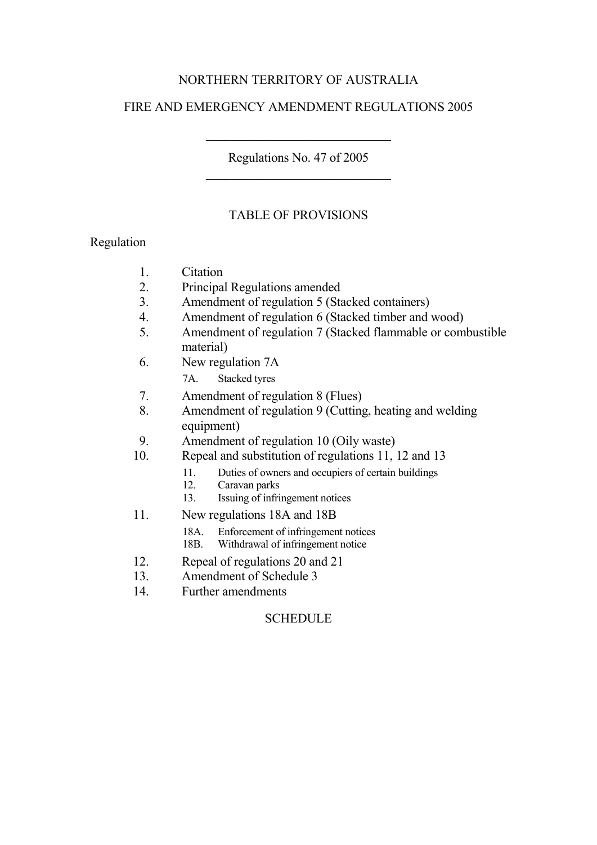### NORTHERN TERRITORY OF AUSTRALIA

#### FIRE AND EMERGENCY AMENDMENT REGULATIONS 2005

Regulations No. 47 of 2005 \_\_\_\_\_\_\_\_\_\_\_\_\_\_\_\_\_\_\_\_\_\_\_\_\_\_\_\_\_

\_\_\_\_\_\_\_\_\_\_\_\_\_\_\_\_\_\_\_\_\_\_\_\_\_\_\_\_\_

#### TABLE OF PROVISIONS

#### Regulation

- 1. Citation<br>2. Principa
- Principal Regulations amended
- 3. Amendment of regulation 5 (Stacked containers)
- 4. Amendment of regulation 6 (Stacked timber and wood)
- 5. Amendment of regulation 7 (Stacked flammable or combustible material)
- 6. New regulation 7A
	- 7A. Stacked tyres
- 7. Amendment of regulation 8 (Flues)
- 8. Amendment of regulation 9 (Cutting, heating and welding equipment)
- 9. Amendment of regulation 10 (Oily waste)<br>10. Repeal and substitution of regulations 11.
- Repeal and substitution of regulations 11, 12 and 13
	- 11. Duties of owners and occupiers of certain buildings
	- 12. Caravan parks
	- 13. Issuing of infringement notices
- 11. New regulations 18A and 18B
	- 18A. Enforcement of infringement notices<br>18B. Withdrawal of infringement notice
	- Withdrawal of infringement notice
- 12. Repeal of regulations 20 and 21
- 13. Amendment of Schedule 3
- 14. Further amendments

#### **SCHEDULE**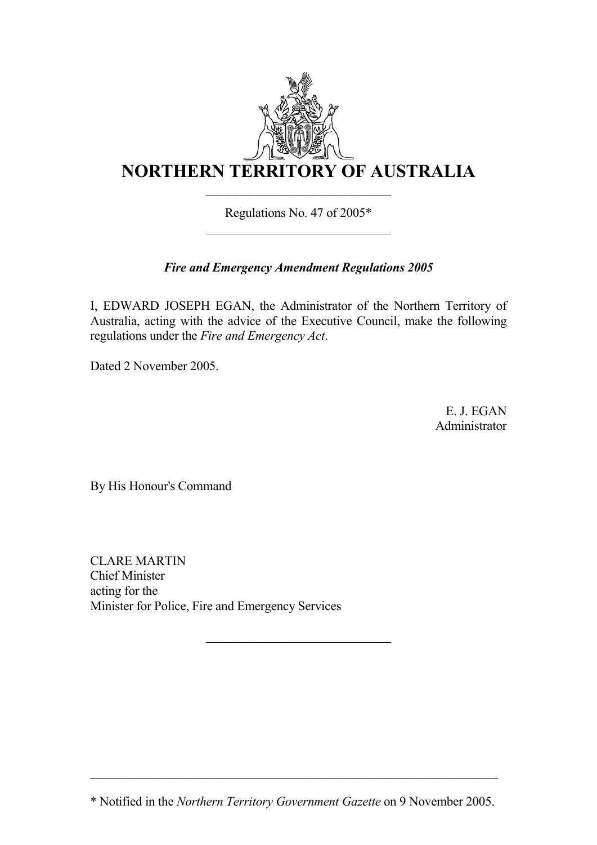

Regulations No. 47 of 2005\*  $\overline{\phantom{a}}$  , where  $\overline{\phantom{a}}$  , where  $\overline{\phantom{a}}$  , where  $\overline{\phantom{a}}$  , where  $\overline{\phantom{a}}$ 

# *Fire and Emergency Amendment Regulations 2005*

I, EDWARD JOSEPH EGAN, the Administrator of the Northern Territory of Australia, acting with the advice of the Executive Council, make the following regulations under the *Fire and Emergency Act*.

Dated 2 November 2005.

E. J. EGAN Administrator

By His Honour's Command

CLARE MARTIN Chief Minister acting for the Minister for Police, Fire and Emergency Services

 $\_$  , and the set of the set of the set of the set of the set of the set of the set of the set of the set of the set of the set of the set of the set of the set of the set of the set of the set of the set of the set of th

 $\overline{\phantom{a}}$  , where  $\overline{\phantom{a}}$  , where  $\overline{\phantom{a}}$  , where  $\overline{\phantom{a}}$  , where  $\overline{\phantom{a}}$ 

<sup>\*</sup> Notified in the *Northern Territory Government Gazette* on 9 November 2005.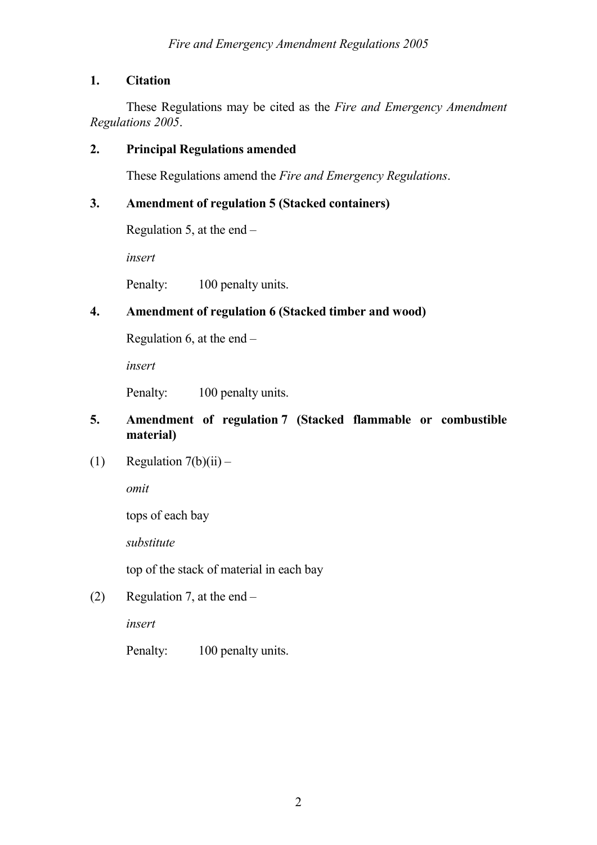### **1. Citation**

These Regulations may be cited as the *Fire and Emergency Amendment Regulations 2005*.

#### **2. Principal Regulations amended**

These Regulations amend the *Fire and Emergency Regulations*.

### **3. Amendment of regulation 5 (Stacked containers)**

Regulation 5, at the end  $-$ 

*insert*

Penalty: 100 penalty units.

### **4. Amendment of regulation 6 (Stacked timber and wood)**

Regulation 6, at the end  $-$ 

*insert*

Penalty: 100 penalty units.

### **5. Amendment of regulation 7 (Stacked flammable or combustible material)**

(1) Regulation  $7(b)(ii)$  –

*omit*

tops of each bay

*substitute*

top of the stack of material in each bay

(2) Regulation 7, at the end –

*insert*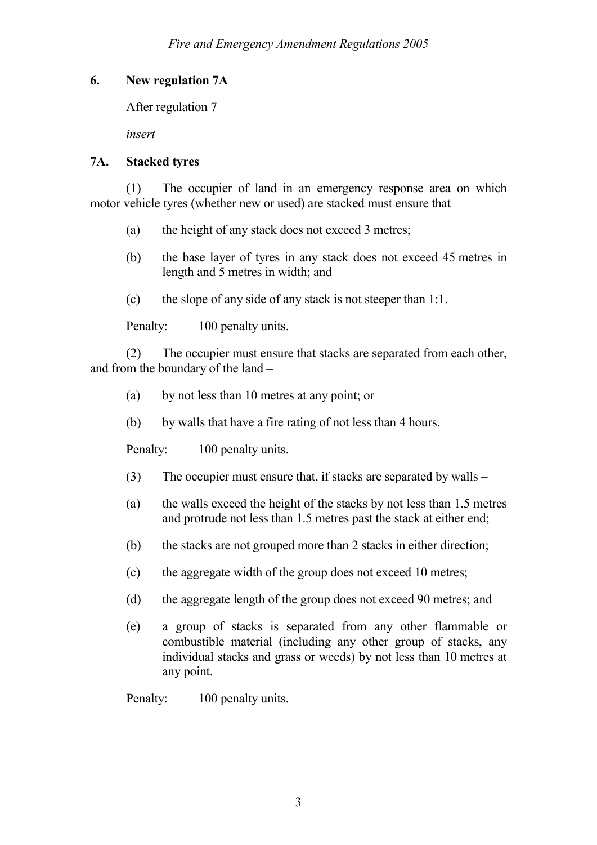### **6. New regulation 7A**

After regulation 7 –

*insert*

### **7A. Stacked tyres**

(1) The occupier of land in an emergency response area on which motor vehicle tyres (whether new or used) are stacked must ensure that –

- (a) the height of any stack does not exceed 3 metres;
- (b) the base layer of tyres in any stack does not exceed 45 metres in length and 5 metres in width; and
- (c) the slope of any side of any stack is not steeper than 1:1.

Penalty: 100 penalty units.

(2) The occupier must ensure that stacks are separated from each other, and from the boundary of the land –

- (a) by not less than 10 metres at any point; or
- (b) by walls that have a fire rating of not less than 4 hours.

Penalty: 100 penalty units.

- (3) The occupier must ensure that, if stacks are separated by walls  $-$
- (a) the walls exceed the height of the stacks by not less than 1.5 metres and protrude not less than 1.5 metres past the stack at either end;
- (b) the stacks are not grouped more than 2 stacks in either direction;
- (c) the aggregate width of the group does not exceed 10 metres;
- (d) the aggregate length of the group does not exceed 90 metres; and
- (e) a group of stacks is separated from any other flammable or combustible material (including any other group of stacks, any individual stacks and grass or weeds) by not less than 10 metres at any point.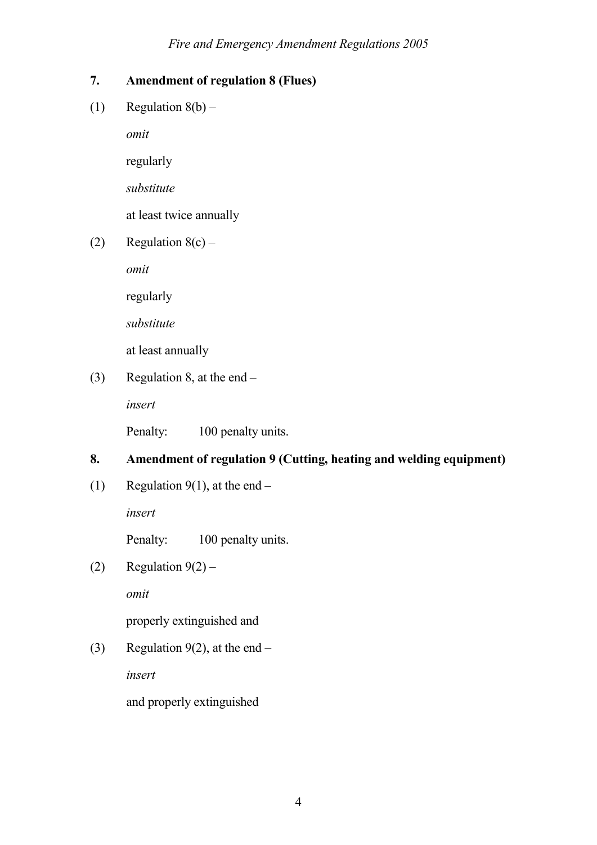# **7. Amendment of regulation 8 (Flues)**

(1) Regulation  $8(b)$  –

*omit*

regularly

*substitute*

at least twice annually

(2) Regulation  $8(c)$  –

*omit*

regularly

*substitute*

at least annually

(3) Regulation 8, at the end –

*insert*

Penalty: 100 penalty units.

# **8. Amendment of regulation 9 (Cutting, heating and welding equipment)**

(1) Regulation 9(1), at the end –

*insert*

Penalty: 100 penalty units.

(2) Regulation  $9(2)$  –

*omit*

properly extinguished and

(3) Regulation 9(2), at the end –

*insert*

and properly extinguished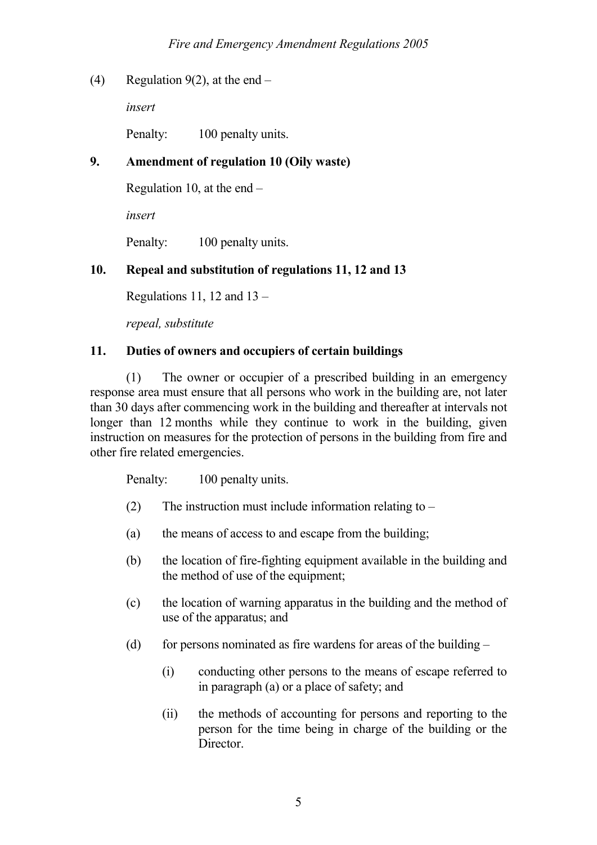(4) Regulation 9(2), at the end –

*insert*

Penalty: 100 penalty units.

### **9. Amendment of regulation 10 (Oily waste)**

Regulation 10, at the end –

*insert*

Penalty: 100 penalty units.

### **10. Repeal and substitution of regulations 11, 12 and 13**

Regulations 11, 12 and  $13 -$ 

*repeal, substitute*

### **11. Duties of owners and occupiers of certain buildings**

(1) The owner or occupier of a prescribed building in an emergency response area must ensure that all persons who work in the building are, not later than 30 days after commencing work in the building and thereafter at intervals not longer than 12 months while they continue to work in the building, given instruction on measures for the protection of persons in the building from fire and other fire related emergencies.

- (2) The instruction must include information relating to  $-$
- (a) the means of access to and escape from the building;
- (b) the location of fire-fighting equipment available in the building and the method of use of the equipment;
- (c) the location of warning apparatus in the building and the method of use of the apparatus; and
- (d) for persons nominated as fire wardens for areas of the building  $-$ 
	- (i) conducting other persons to the means of escape referred to in paragraph (a) or a place of safety; and
	- (ii) the methods of accounting for persons and reporting to the person for the time being in charge of the building or the Director.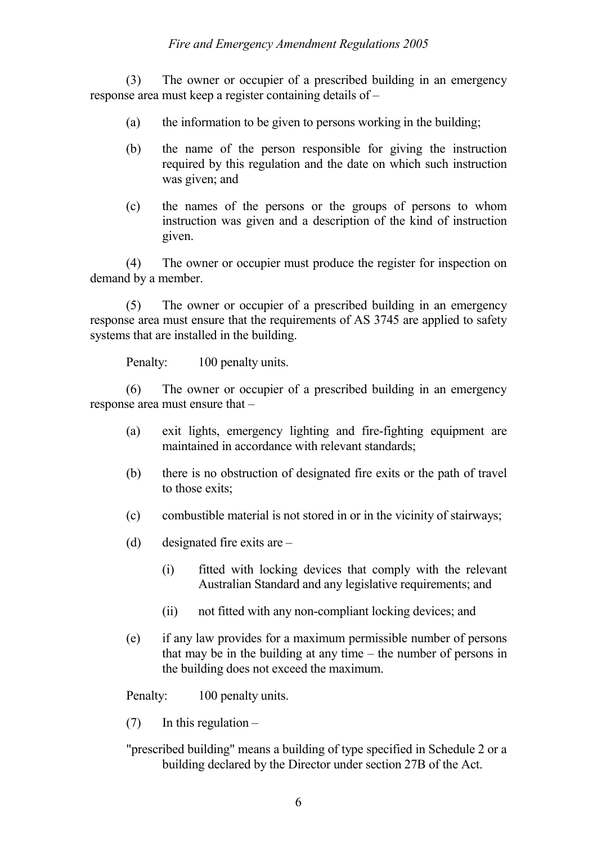(3) The owner or occupier of a prescribed building in an emergency response area must keep a register containing details of –

- (a) the information to be given to persons working in the building;
- (b) the name of the person responsible for giving the instruction required by this regulation and the date on which such instruction was given; and
- (c) the names of the persons or the groups of persons to whom instruction was given and a description of the kind of instruction given.

(4) The owner or occupier must produce the register for inspection on demand by a member.

(5) The owner or occupier of a prescribed building in an emergency response area must ensure that the requirements of AS 3745 are applied to safety systems that are installed in the building.

Penalty: 100 penalty units.

(6) The owner or occupier of a prescribed building in an emergency response area must ensure that –

- (a) exit lights, emergency lighting and fire-fighting equipment are maintained in accordance with relevant standards;
- (b) there is no obstruction of designated fire exits or the path of travel to those exits;
- (c) combustible material is not stored in or in the vicinity of stairways;
- (d) designated fire exits are
	- (i) fitted with locking devices that comply with the relevant Australian Standard and any legislative requirements; and
	- (ii) not fitted with any non-compliant locking devices; and
- (e) if any law provides for a maximum permissible number of persons that may be in the building at any time – the number of persons in the building does not exceed the maximum.

Penalty: 100 penalty units.

 $(7)$  In this regulation –

"prescribed building" means a building of type specified in Schedule 2 or a building declared by the Director under section 27B of the Act.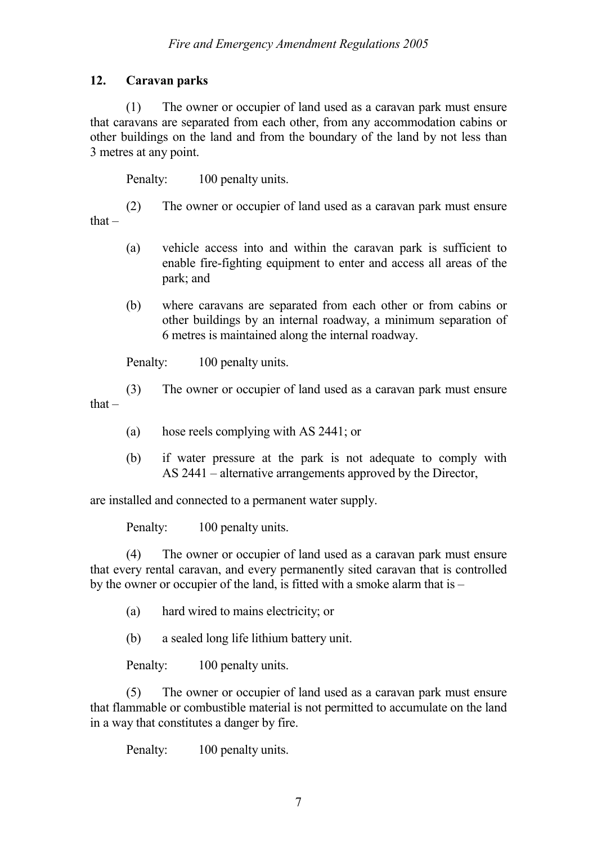# **12. Caravan parks**

(1) The owner or occupier of land used as a caravan park must ensure that caravans are separated from each other, from any accommodation cabins or other buildings on the land and from the boundary of the land by not less than 3 metres at any point.

Penalty: 100 penalty units.

(2) The owner or occupier of land used as a caravan park must ensure that –

- (a) vehicle access into and within the caravan park is sufficient to enable fire-fighting equipment to enter and access all areas of the park; and
- (b) where caravans are separated from each other or from cabins or other buildings by an internal roadway, a minimum separation of 6 metres is maintained along the internal roadway.

Penalty: 100 penalty units.

(3) The owner or occupier of land used as a caravan park must ensure that $-$ 

- (a) hose reels complying with AS 2441; or
- (b) if water pressure at the park is not adequate to comply with AS 2441 – alternative arrangements approved by the Director,

are installed and connected to a permanent water supply.

Penalty: 100 penalty units.

(4) The owner or occupier of land used as a caravan park must ensure that every rental caravan, and every permanently sited caravan that is controlled by the owner or occupier of the land, is fitted with a smoke alarm that is –

(a) hard wired to mains electricity; or

(b) a sealed long life lithium battery unit.

Penalty: 100 penalty units.

(5) The owner or occupier of land used as a caravan park must ensure that flammable or combustible material is not permitted to accumulate on the land in a way that constitutes a danger by fire.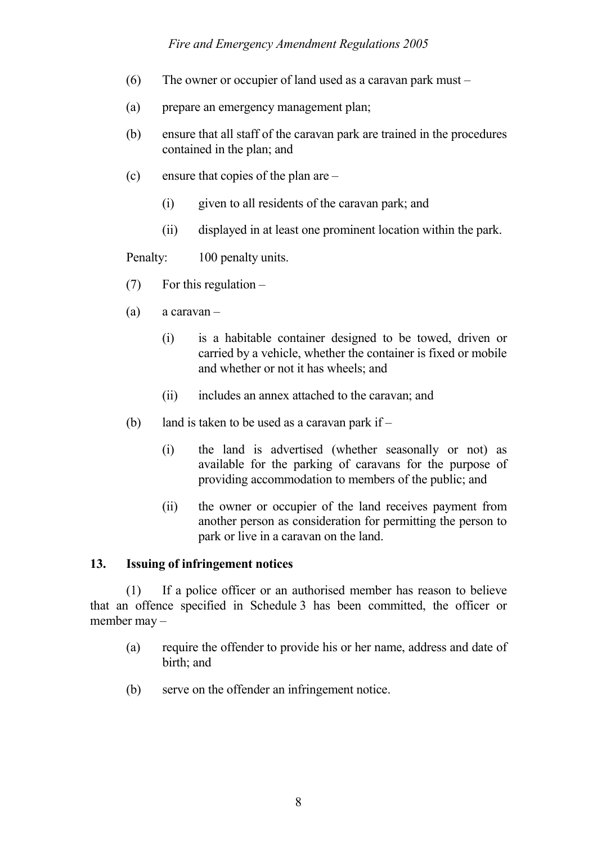#### *Fire and Emergency Amendment Regulations 2005*

- (6) The owner or occupier of land used as a caravan park must  $-$
- (a) prepare an emergency management plan;
- (b) ensure that all staff of the caravan park are trained in the procedures contained in the plan; and
- (c) ensure that copies of the plan are
	- (i) given to all residents of the caravan park; and
	- (ii) displayed in at least one prominent location within the park.

Penalty: 100 penalty units.

- $(7)$  For this regulation –
- (a) a caravan
	- (i) is a habitable container designed to be towed, driven or carried by a vehicle, whether the container is fixed or mobile and whether or not it has wheels; and
	- (ii) includes an annex attached to the caravan; and
- (b) land is taken to be used as a caravan park if  $-$ 
	- (i) the land is advertised (whether seasonally or not) as available for the parking of caravans for the purpose of providing accommodation to members of the public; and
	- (ii) the owner or occupier of the land receives payment from another person as consideration for permitting the person to park or live in a caravan on the land.

#### **13. Issuing of infringement notices**

(1) If a police officer or an authorised member has reason to believe that an offence specified in Schedule 3 has been committed, the officer or member may –

- (a) require the offender to provide his or her name, address and date of birth; and
- (b) serve on the offender an infringement notice.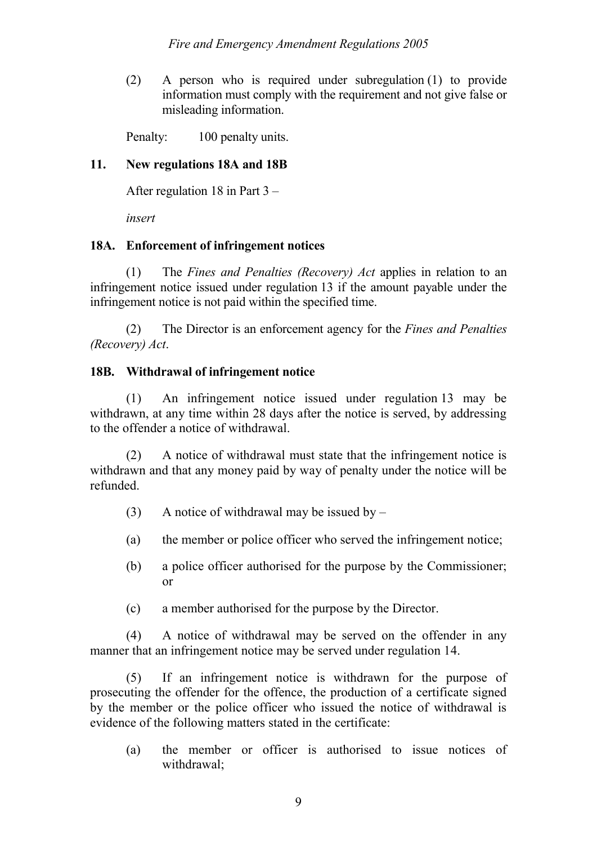(2) A person who is required under subregulation (1) to provide information must comply with the requirement and not give false or misleading information.

Penalty: 100 penalty units.

#### **11. New regulations 18A and 18B**

After regulation 18 in Part 3 –

*insert*

#### **18A. Enforcement of infringement notices**

(1) The *Fines and Penalties (Recovery) Act* applies in relation to an infringement notice issued under regulation 13 if the amount payable under the infringement notice is not paid within the specified time.

(2) The Director is an enforcement agency for the *Fines and Penalties (Recovery) Act*.

### **18B. Withdrawal of infringement notice**

(1) An infringement notice issued under regulation 13 may be withdrawn, at any time within 28 days after the notice is served, by addressing to the offender a notice of withdrawal.

(2) A notice of withdrawal must state that the infringement notice is withdrawn and that any money paid by way of penalty under the notice will be refunded.

- (3) A notice of withdrawal may be issued by  $-$
- (a) the member or police officer who served the infringement notice;
- (b) a police officer authorised for the purpose by the Commissioner; or
- (c) a member authorised for the purpose by the Director.

(4) A notice of withdrawal may be served on the offender in any manner that an infringement notice may be served under regulation 14.

(5) If an infringement notice is withdrawn for the purpose of prosecuting the offender for the offence, the production of a certificate signed by the member or the police officer who issued the notice of withdrawal is evidence of the following matters stated in the certificate:

(a) the member or officer is authorised to issue notices of withdrawal;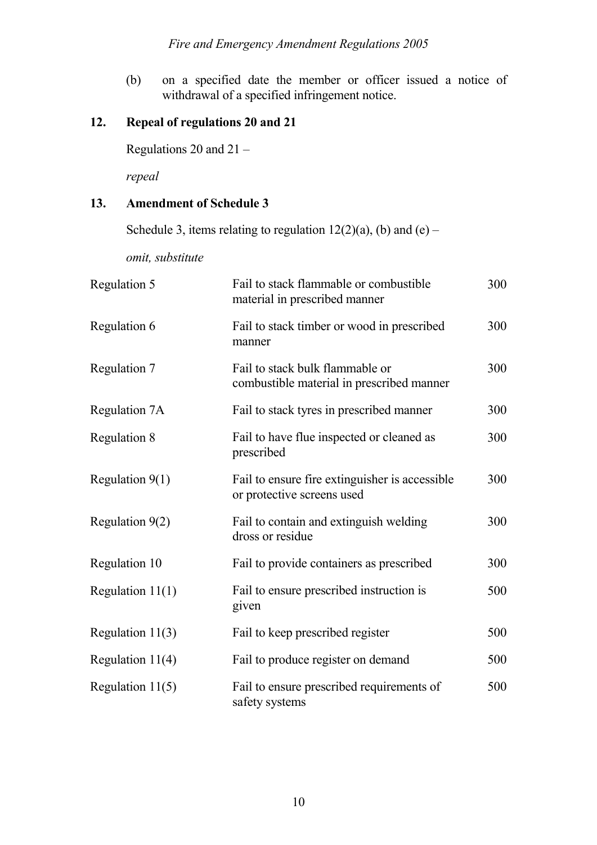(b) on a specified date the member or officer issued a notice of withdrawal of a specified infringement notice.

# **12. Repeal of regulations 20 and 21**

Regulations 20 and 21 –

*repeal*

#### **13. Amendment of Schedule 3**

Schedule 3, items relating to regulation  $12(2)(a)$ , (b) and (e) –

*omit, substitute*

| Regulation 5       | Fail to stack flammable or combustible<br>material in prescribed manner      | 300 |
|--------------------|------------------------------------------------------------------------------|-----|
| Regulation 6       | Fail to stack timber or wood in prescribed<br>manner                         | 300 |
| Regulation 7       | Fail to stack bulk flammable or<br>combustible material in prescribed manner | 300 |
| Regulation 7A      | Fail to stack tyres in prescribed manner                                     | 300 |
| Regulation 8       | Fail to have flue inspected or cleaned as<br>prescribed                      | 300 |
| Regulation $9(1)$  | Fail to ensure fire extinguisher is accessible<br>or protective screens used | 300 |
| Regulation $9(2)$  | Fail to contain and extinguish welding<br>dross or residue                   | 300 |
| Regulation 10      | Fail to provide containers as prescribed                                     | 300 |
| Regulation $11(1)$ | Fail to ensure prescribed instruction is<br>given                            | 500 |
| Regulation $11(3)$ | Fail to keep prescribed register                                             | 500 |
| Regulation $11(4)$ | Fail to produce register on demand                                           | 500 |
| Regulation $11(5)$ | Fail to ensure prescribed requirements of<br>safety systems                  | 500 |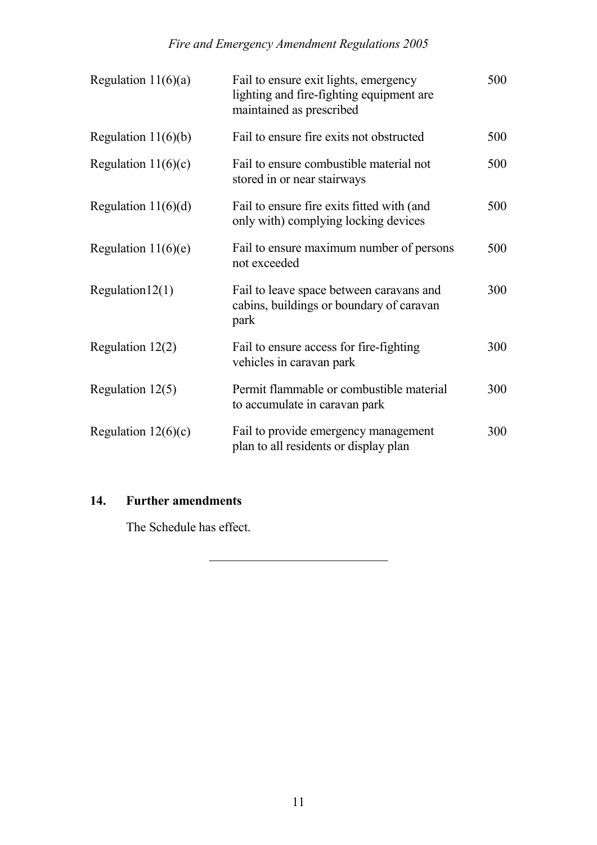| Regulation $11(6)(a)$ | Fail to ensure exit lights, emergency<br>lighting and fire-fighting equipment are<br>maintained as prescribed | 500 |
|-----------------------|---------------------------------------------------------------------------------------------------------------|-----|
| Regulation $11(6)(b)$ | Fail to ensure fire exits not obstructed                                                                      | 500 |
| Regulation $11(6)(c)$ | Fail to ensure combustible material not<br>stored in or near stairways                                        | 500 |
| Regulation $11(6)(d)$ | Fail to ensure fire exits fitted with (and<br>only with) complying locking devices                            | 500 |
| Regulation $11(6)(e)$ | Fail to ensure maximum number of persons<br>not exceeded                                                      | 500 |
| Regularion12(1)       | Fail to leave space between caravans and<br>cabins, buildings or boundary of caravan<br>park                  | 300 |
| Regulation $12(2)$    | Fail to ensure access for fire-fighting<br>vehicles in caravan park                                           | 300 |
| Regulation $12(5)$    | Permit flammable or combustible material<br>to accumulate in caravan park                                     | 300 |
| Regulation $12(6)(c)$ | Fail to provide emergency management<br>plan to all residents or display plan                                 | 300 |

# **14. Further amendments**

The Schedule has effect.

\_\_\_\_\_\_\_\_\_\_\_\_\_\_\_\_\_\_\_\_\_\_\_\_\_\_\_\_